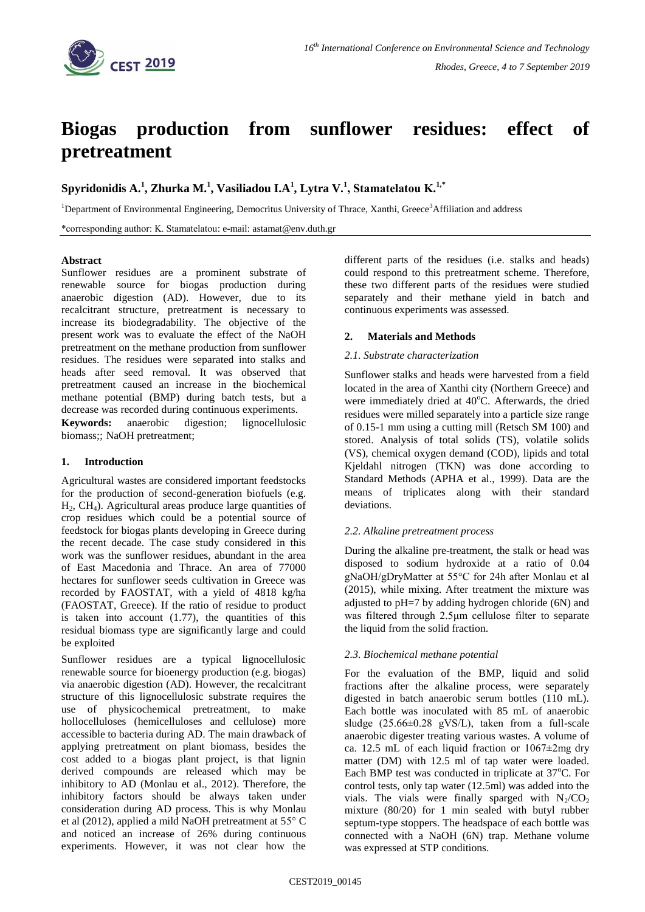

# **Biogas production from sunflower residues: effect of pretreatment**

**Spyridonidis A.<sup>1</sup> , Zhurka M.<sup>1</sup> , Vasiliadou I.A<sup>1</sup> , Lytra V.<sup>1</sup> , Stamatelatou Κ.1,\***

<sup>1</sup>Department of Environmental Engineering, Democritus University of Thrace, Xanthi, Greece<sup>3</sup>Affiliation and address

\*corresponding author: Κ. Stamatelatou: e-mail: astamat@env.duth.gr

## **Abstract**

Sunflower residues are a prominent substrate of renewable source for biogas production during anaerobic digestion (AD). However, due to its recalcitrant structure, pretreatment is necessary to increase its biodegradability. The objective of the present work was to evaluate the effect of the NaOH pretreatment on the methane production from sunflower residues. The residues were separated into stalks and heads after seed removal. It was observed that pretreatment caused an increase in the biochemical methane potential (BMP) during batch tests, but a decrease was recorded during continuous experiments. **Keywords:** anaerobic digestion; lignocellulosic

biomass;; NaOH pretreatment;

## **1. Introduction**

Agricultural wastes are considered important feedstocks for the production of second-generation biofuels (e.g.  $H_2$ , CH<sub>4</sub>). Agricultural areas produce large quantities of crop residues which could be a potential source of feedstock for biogas plants developing in Greece during the recent decade. The case study considered in this work was the sunflower residues, abundant in the area of East Macedonia and Thrace. An area of 77000 hectares for sunflower seeds cultivation in Greece was recorded by FAOSTAT, with a yield of 4818 kg/ha (FAOSTAT, Greece). If the ratio of residue to product is taken into account  $(1.77)$ , the quantities of this residual biomass type are significantly large and could be exploited

Sunflower residues are a typical lignocellulosic renewable source for bioenergy production (e.g. biogas) via anaerobic digestion (AD). However, the recalcitrant structure of this lignocellulosic substrate requires the use of physicochemical pretreatment, to make hollocelluloses (hemicelluloses and cellulose) more accessible to bacteria during AD. The main drawback of applying pretreatment on plant biomass, besides the cost added to a biogas plant project, is that lignin derived compounds are released which may be inhibitory to AD (Monlau et al., 2012). Therefore, the inhibitory factors should be always taken under consideration during AD process. This is why Monlau et al (2012), applied a mild NaOH pretreatment at 55° C and noticed an increase of 26% during continuous experiments. However, it was not clear how the

different parts of the residues (i.e. stalks and heads) could respond to this pretreatment scheme. Therefore, these two different parts of the residues were studied separately and their methane yield in batch and continuous experiments was assessed.

## **2. Materials and Methods**

## *2.1. Substrate characterization*

Sunflower stalks and heads were harvested from a field located in the area of Xanthi city (Northern Greece) and were immediately dried at  $40^{\circ}$ C. Afterwards, the dried residues were milled separately into a particle size range of 0.15-1 mm using a cutting mill (Retsch SM 100) and stored. Αnalysis of total solids (TS), volatile solids (VS), chemical oxygen demand (COD), lipids and total Kjeldahl nitrogen (TKN) was done according to Standard Methods (APHA et al., 1999). Data are the means of triplicates along with their standard deviations.

## *2.2. Alkaline pretreatment process*

During the alkaline pre-treatment, the stalk or head was disposed to sodium hydroxide at a ratio of 0.04 gNaOH/gDryMatter at 55°C for 24h after Monlau et al (2015), while mixing. After treatment the mixture was adjusted to pH=7 by adding hydrogen chloride (6N) and was filtered through 2.5μm cellulose filter to separate the liquid from the solid fraction.

## *2.3. Biochemical methane potential*

For the evaluation of the BMP, liquid and solid fractions after the alkaline process, were separately digested in batch anaerobic serum bottles (110 mL). Each bottle was inoculated with 85 mL of anaerobic sludge (25.66±0.28 gVS/L), taken from a full-scale anaerobic digester treating various wastes. A volume of ca. 12.5 mL of each liquid fraction or 1067±2mg dry matter (DM) with 12.5 ml of tap water were loaded. Each BMP test was conducted in triplicate at  $37^{\circ}$ C. For control tests, only tap water (12.5ml) was added into the vials. The vials were finally sparged with  $N_2/CO_2$ mixture (80/20) for 1 min sealed with butyl rubber septum-type stoppers. The headspace of each bottle was connected with a NaOH (6N) trap. Methane volume was expressed at STP conditions.